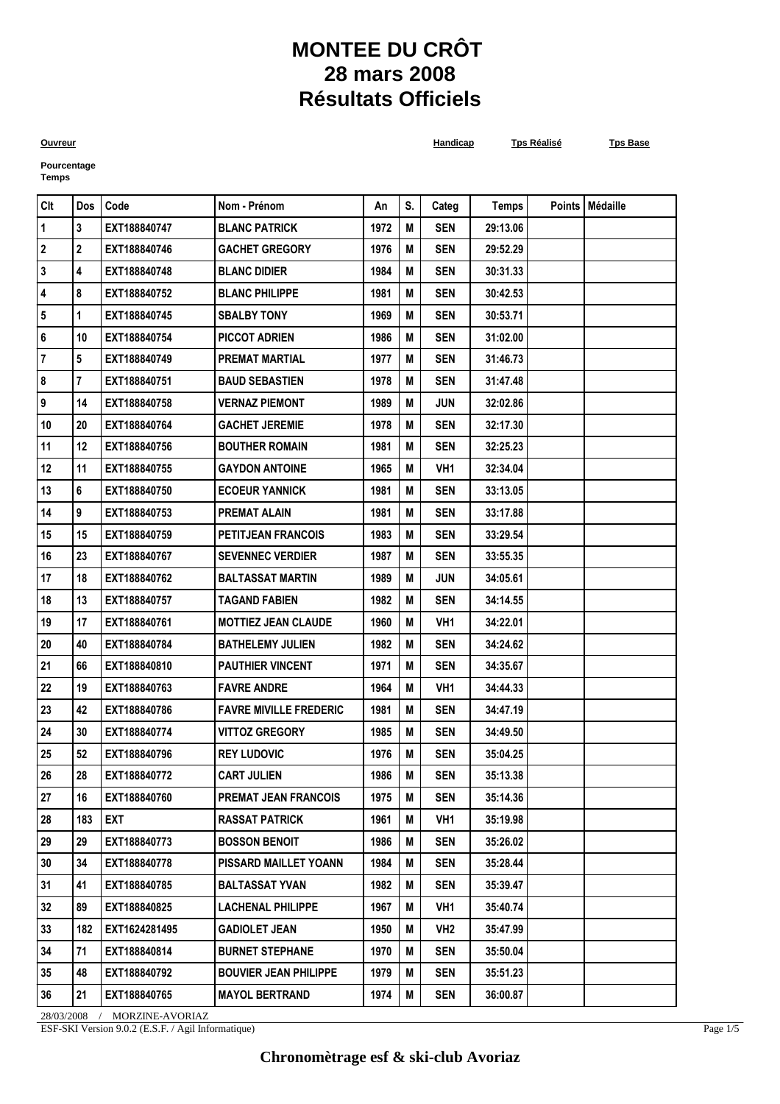## **MONTEE DU CRÔT 28 mars 2008 Résultats Officiels**

**Ouvreur Handicap Tps Réalisé Tps Base**

**Pourcentage Temps**

| $ $ Clt   | Dos            | Code          | Nom - Prénom                  | An   | S. | Categ           | <b>Temps</b> | Points   Médaille |
|-----------|----------------|---------------|-------------------------------|------|----|-----------------|--------------|-------------------|
| $\vert$ 1 | 3              | EXT188840747  | <b>BLANC PATRICK</b>          | 1972 | M  | <b>SEN</b>      | 29:13.06     |                   |
| 2         | 2              | EXT188840746  | <b>GACHET GREGORY</b>         | 1976 | М  | <b>SEN</b>      | 29:52.29     |                   |
| 3         | 4              | EXT188840748  | <b>BLANC DIDIER</b>           | 1984 | M  | <b>SEN</b>      | 30:31.33     |                   |
| 4         | 8              | EXT188840752  | <b>BLANC PHILIPPE</b>         | 1981 | Μ  | <b>SEN</b>      | 30:42.53     |                   |
| 5         | 1              | EXT188840745  | <b>SBALBY TONY</b>            | 1969 | М  | <b>SEN</b>      | 30:53.71     |                   |
| 6         | 10             | EXT188840754  | <b>PICCOT ADRIEN</b>          | 1986 | M  | <b>SEN</b>      | 31:02.00     |                   |
| 7         | 5              | EXT188840749  | <b>PREMAT MARTIAL</b>         | 1977 | Μ  | <b>SEN</b>      | 31:46.73     |                   |
| 8         | $\overline{7}$ | EXT188840751  | <b>BAUD SEBASTIEN</b>         | 1978 | M  | <b>SEN</b>      | 31:47.48     |                   |
| 9         | 14             | EXT188840758  | <b>VERNAZ PIEMONT</b>         | 1989 | Μ  | JUN             | 32:02.86     |                   |
| 10        | 20             | EXT188840764  | <b>GACHET JEREMIE</b>         | 1978 | M  | <b>SEN</b>      | 32:17.30     |                   |
| 11        | 12             | EXT188840756  | <b>BOUTHER ROMAIN</b>         | 1981 | М  | <b>SEN</b>      | 32:25.23     |                   |
| 12        | 11             | EXT188840755  | <b>GAYDON ANTOINE</b>         | 1965 | Μ  | VH1             | 32:34.04     |                   |
| 13        | 6              | EXT188840750  | <b>ECOEUR YANNICK</b>         | 1981 | M  | <b>SEN</b>      | 33:13.05     |                   |
| 14        | 9              | EXT188840753  | <b>PREMAT ALAIN</b>           | 1981 | Μ  | <b>SEN</b>      | 33:17.88     |                   |
| 15        | 15             | EXT188840759  | <b>PETITJEAN FRANCOIS</b>     | 1983 | M  | <b>SEN</b>      | 33:29.54     |                   |
| 16        | 23             | EXT188840767  | <b>SEVENNEC VERDIER</b>       | 1987 | Μ  | <b>SEN</b>      | 33:55.35     |                   |
| 17        | 18             | EXT188840762  | <b>BALTASSAT MARTIN</b>       | 1989 | M  | JUN             | 34:05.61     |                   |
| 18        | 13             | EXT188840757  | <b>TAGAND FABIEN</b>          | 1982 | Μ  | <b>SEN</b>      | 34:14.55     |                   |
| 19        | 17             | EXT188840761  | <b>MOTTIEZ JEAN CLAUDE</b>    | 1960 | Μ  | VH1             | 34:22.01     |                   |
| 20        | 40             | EXT188840784  | <b>BATHELEMY JULIEN</b>       | 1982 | M  | <b>SEN</b>      | 34:24.62     |                   |
| 21        | 66             | EXT188840810  | <b>PAUTHIER VINCENT</b>       | 1971 | Μ  | <b>SEN</b>      | 34:35.67     |                   |
| 22        | 19             | EXT188840763  | <b>FAVRE ANDRE</b>            | 1964 | M  | VH1             | 34:44.33     |                   |
| 23        | 42             | EXT188840786  | <b>FAVRE MIVILLE FREDERIC</b> | 1981 | Μ  | <b>SEN</b>      | 34:47.19     |                   |
| 24        | 30             | EXT188840774  | <b>VITTOZ GREGORY</b>         | 1985 | Μ  | <b>SEN</b>      | 34:49.50     |                   |
| 25        | 52             | EXT188840796  | <b>REY LUDOVIC</b>            | 1976 | M  | <b>SEN</b>      | 35:04.25     |                   |
| 26        | 28             | EXT188840772  | <b>CART JULIEN</b>            | 1986 | M  | <b>SEN</b>      | 35:13.38     |                   |
| 27        | 16             | EXT188840760  | <b>PREMAT JEAN FRANCOIS</b>   | 1975 | M  | <b>SEN</b>      | 35:14.36     |                   |
| 28        | 183            | EXT           | <b>RASSAT PATRICK</b>         | 1961 | Μ  | VH1             | 35:19.98     |                   |
| 29        | 29             | EXT188840773  | <b>BOSSON BENOIT</b>          | 1986 | M  | <b>SEN</b>      | 35:26.02     |                   |
| 30        | 34             | EXT188840778  | <b>PISSARD MAILLET YOANN</b>  | 1984 | M  | SEN             | 35:28.44     |                   |
| 31        | 41             | EXT188840785  | <b>BALTASSAT YVAN</b>         | 1982 | Μ  | SEN             | 35:39.47     |                   |
| 32        | 89             | EXT188840825  | <b>LACHENAL PHILIPPE</b>      | 1967 | M  | VH <sub>1</sub> | 35:40.74     |                   |
| 33        | 182            | EXT1624281495 | <b>GADIOLET JEAN</b>          | 1950 | Μ  | VH <sub>2</sub> | 35:47.99     |                   |
| 34        | 71             | EXT188840814  | <b>BURNET STEPHANE</b>        | 1970 | M  | <b>SEN</b>      | 35:50.04     |                   |
| 35        | 48             | EXT188840792  | <b>BOUVIER JEAN PHILIPPE</b>  | 1979 | Μ  | SEN             | 35:51.23     |                   |
| 36        | 21             | EXT188840765  | <b>MAYOL BERTRAND</b>         | 1974 | M  | <b>SEN</b>      | 36:00.87     |                   |

28/03/2008 / MORZINE-AVORIAZ ESF-SKI Version 9.0.2 (E.S.F. / Agil Informatique)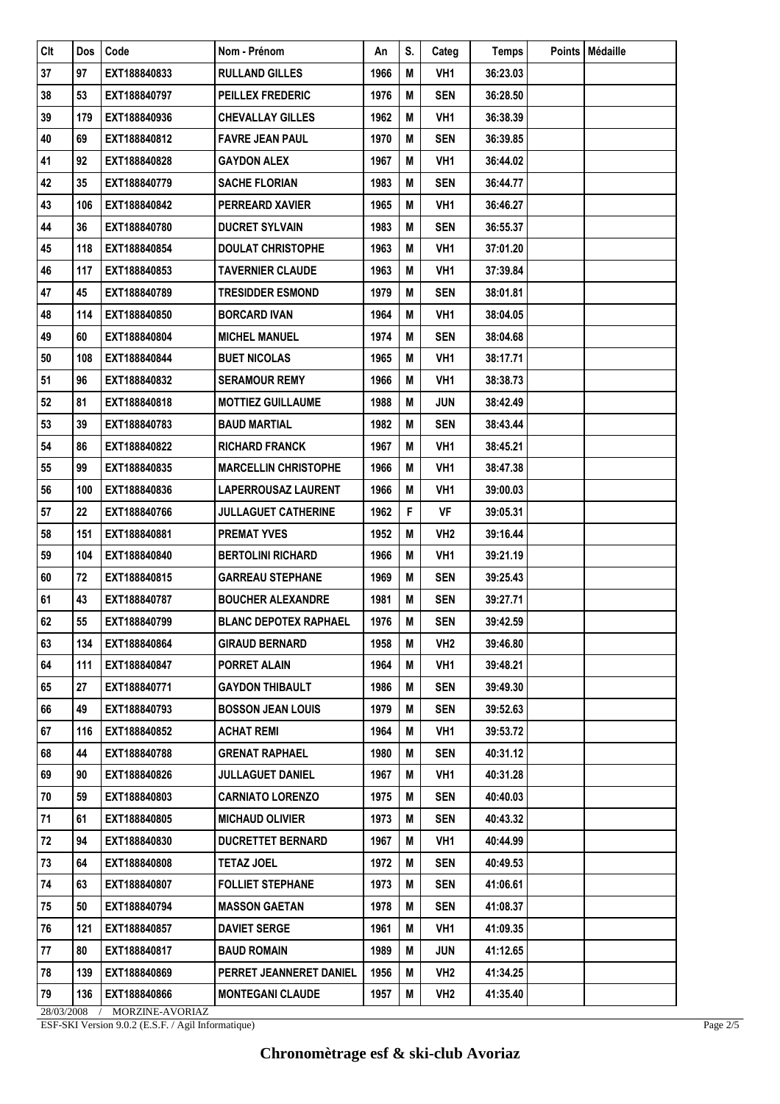| <b>CIt</b> | <b>Dos</b> | Code            | Nom - Prénom                 | An   | S. | Categ           | Temps    | Points   Médaille |
|------------|------------|-----------------|------------------------------|------|----|-----------------|----------|-------------------|
| 37         | 97         | EXT188840833    | <b>RULLAND GILLES</b>        | 1966 | M  | VH1             | 36:23.03 |                   |
| 38         | 53         | EXT188840797    | <b>PEILLEX FREDERIC</b>      | 1976 | Μ  | <b>SEN</b>      | 36:28.50 |                   |
| 39         | 179        | EXT188840936    | <b>CHEVALLAY GILLES</b>      | 1962 | M  | VH <sub>1</sub> | 36:38.39 |                   |
| 40         | 69         | EXT188840812    | <b>FAVRE JEAN PAUL</b>       | 1970 | Μ  | <b>SEN</b>      | 36:39.85 |                   |
| 41         | 92         | EXT188840828    | <b>GAYDON ALEX</b>           | 1967 | M  | VH <sub>1</sub> | 36:44.02 |                   |
| 42         | 35         | EXT188840779    | <b>SACHE FLORIAN</b>         | 1983 | Μ  | <b>SEN</b>      | 36:44.77 |                   |
| 43         | 106        | EXT188840842    | <b>PERREARD XAVIER</b>       | 1965 | M  | VH1             | 36:46.27 |                   |
| 44         | 36         | EXT188840780    | <b>DUCRET SYLVAIN</b>        | 1983 | M  | <b>SEN</b>      | 36:55.37 |                   |
| 45         | 118        | EXT188840854    | <b>DOULAT CHRISTOPHE</b>     | 1963 | M  | VH1             | 37:01.20 |                   |
| 46         | 117        | EXT188840853    | <b>TAVERNIER CLAUDE</b>      | 1963 | M  | VH <sub>1</sub> | 37:39.84 |                   |
| 47         | 45         | EXT188840789    | <b>TRESIDDER ESMOND</b>      | 1979 | M  | <b>SEN</b>      | 38:01.81 |                   |
| 48         | 114        | EXT188840850    | <b>BORCARD IVAN</b>          | 1964 | M  | VH1             | 38:04.05 |                   |
| 49         | 60         | EXT188840804    | <b>MICHEL MANUEL</b>         | 1974 | Μ  | <b>SEN</b>      | 38:04.68 |                   |
| 50         | 108        | EXT188840844    | <b>BUET NICOLAS</b>          | 1965 | M  | VH1             | 38:17.71 |                   |
| 51         | 96         | EXT188840832    | <b>SERAMOUR REMY</b>         | 1966 | M  | VH <sub>1</sub> | 38:38.73 |                   |
| 52         | 81         | EXT188840818    | <b>MOTTIEZ GUILLAUME</b>     | 1988 | Μ  | JUN             | 38:42.49 |                   |
| 53         | 39         | EXT188840783    | <b>BAUD MARTIAL</b>          | 1982 | M  | <b>SEN</b>      | 38:43.44 |                   |
| 54         | 86         | EXT188840822    | <b>RICHARD FRANCK</b>        | 1967 | M  | VH <sub>1</sub> | 38:45.21 |                   |
| 55         | 99         | EXT188840835    | <b>MARCELLIN CHRISTOPHE</b>  | 1966 | M  | VH <sub>1</sub> | 38:47.38 |                   |
| 56         | 100        | EXT188840836    | LAPERROUSAZ LAURENT          | 1966 | M  | VH1             | 39:00.03 |                   |
| 57         | 22         | EXT188840766    | <b>JULLAGUET CATHERINE</b>   | 1962 | F  | <b>VF</b>       | 39:05.31 |                   |
| 58         | 151        | EXT188840881    | <b>PREMAT YVES</b>           | 1952 | Μ  | VH <sub>2</sub> | 39:16.44 |                   |
| 59         | 104        | EXT188840840    | <b>BERTOLINI RICHARD</b>     | 1966 | M  | VH1             | 39:21.19 |                   |
| 60         | 72         | EXT188840815    | <b>GARREAU STEPHANE</b>      | 1969 | M  | <b>SEN</b>      | 39:25.43 |                   |
| 61         | 43         | EXT188840787    | <b>BOUCHER ALEXANDRE</b>     | 1981 | Μ  | <b>SEN</b>      | 39:27.71 |                   |
| 62         | 55         | EXT188840799    | <b>BLANC DEPOTEX RAPHAEL</b> | 1976 | M  | <b>SEN</b>      | 39:42.59 |                   |
| 63         | 134        | EXT188840864    | <b>GIRAUD BERNARD</b>        | 1958 | M  | VH <sub>2</sub> | 39:46.80 |                   |
| 64         | 111        | EXT188840847    | <b>PORRET ALAIN</b>          | 1964 | M  | VH1             | 39:48.21 |                   |
| 65         | 27         | EXT188840771    | <b>GAYDON THIBAULT</b>       | 1986 | M  | <b>SEN</b>      | 39:49.30 |                   |
| 66         | 49         | EXT188840793    | <b>BOSSON JEAN LOUIS</b>     | 1979 | Μ  | <b>SEN</b>      | 39:52.63 |                   |
| 67         | 116        | EXT188840852    | <b>ACHAT REMI</b>            | 1964 | Μ  | VH1             | 39:53.72 |                   |
| 68         | 44         | EXT188840788    | <b>GRENAT RAPHAEL</b>        | 1980 | Μ  | <b>SEN</b>      | 40:31.12 |                   |
| 69         | 90         | EXT188840826    | <b>JULLAGUET DANIEL</b>      | 1967 | M  | VH1             | 40:31.28 |                   |
| 70         | 59         | EXT188840803    | <b>CARNIATO LORENZO</b>      | 1975 | M  | SEN             | 40:40.03 |                   |
| 71         | 61         | EXT188840805    | <b>MICHAUD OLIVIER</b>       | 1973 | Μ  | <b>SEN</b>      | 40:43.32 |                   |
| 72         | 94         | EXT188840830    | <b>DUCRETTET BERNARD</b>     | 1967 | Μ  | VH1             | 40:44.99 |                   |
| 73         | 64         | EXT188840808    | <b>TETAZ JOEL</b>            | 1972 | M  | <b>SEN</b>      | 40:49.53 |                   |
| 74         | 63         | EXT188840807    | <b>FOLLIET STEPHANE</b>      | 1973 | M  | <b>SEN</b>      | 41:06.61 |                   |
| 75         | 50         | EXT188840794    | <b>MASSON GAETAN</b>         | 1978 | Μ  | SEN             | 41:08.37 |                   |
| 76         | 121        | EXT188840857    | <b>DAVIET SERGE</b>          | 1961 | M  | VH1             | 41:09.35 |                   |
| 77         | 80         | EXT188840817    | <b>BAUD ROMAIN</b>           | 1989 | Μ  | <b>JUN</b>      | 41:12.65 |                   |
| 78         | 139        | EXT188840869    | PERRET JEANNERET DANIEL      | 1956 | Μ  | VH <sub>2</sub> | 41:34.25 |                   |
| 79         | 136        | EXT188840866    | <b>MONTEGANI CLAUDE</b>      | 1957 | M  | VH <sub>2</sub> | 41:35.40 |                   |
| 28/03/2008 |            | MORZINE-AVORIAZ |                              |      |    |                 |          |                   |

ESF-SKI Version 9.0.2 (E.S.F. / Agil Informatique)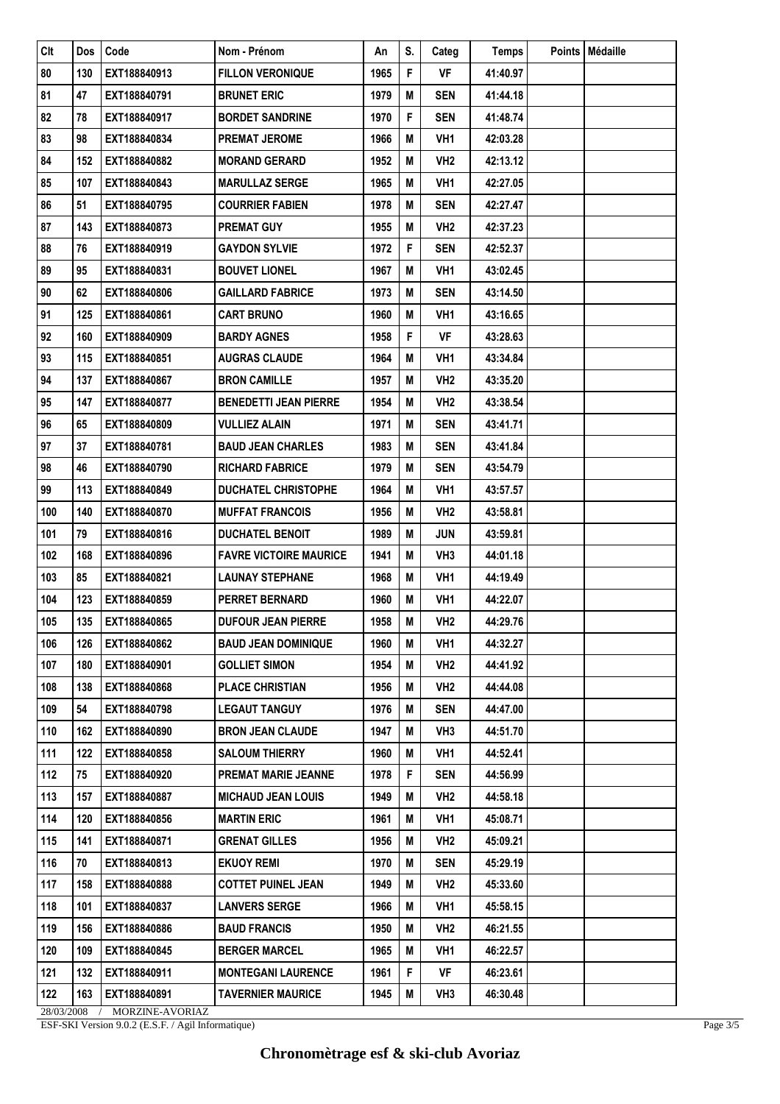| Clt        | <b>Dos</b> | Code            | Nom - Prénom                  | An   | S. | Categ           | <b>Temps</b> | Points   Médaille |
|------------|------------|-----------------|-------------------------------|------|----|-----------------|--------------|-------------------|
| 80         | 130        | EXT188840913    | <b>FILLON VERONIQUE</b>       | 1965 | F  | VF              | 41:40.97     |                   |
| 81         | 47         | EXT188840791    | <b>BRUNET ERIC</b>            | 1979 | M  | <b>SEN</b>      | 41:44.18     |                   |
| 82         | 78         | EXT188840917    | <b>BORDET SANDRINE</b>        | 1970 | F  | <b>SEN</b>      | 41:48.74     |                   |
| 83         | 98         | EXT188840834    | <b>PREMAT JEROME</b>          | 1966 | M  | VH <sub>1</sub> | 42:03.28     |                   |
| 84         | 152        | EXT188840882    | <b>MORAND GERARD</b>          | 1952 | Μ  | VH <sub>2</sub> | 42:13.12     |                   |
| 85         | 107        | EXT188840843    | <b>MARULLAZ SERGE</b>         | 1965 | M  | VH1             | 42:27.05     |                   |
| 86         | 51         | EXT188840795    | <b>COURRIER FABIEN</b>        | 1978 | M  | <b>SEN</b>      | 42:27.47     |                   |
| 87         | 143        | EXT188840873    | <b>PREMAT GUY</b>             | 1955 | Μ  | VH <sub>2</sub> | 42:37.23     |                   |
| 88         | 76         | EXT188840919    | <b>GAYDON SYLVIE</b>          | 1972 | F  | <b>SEN</b>      | 42:52.37     |                   |
| 89         | 95         | EXT188840831    | <b>BOUVET LIONEL</b>          | 1967 | Μ  | VH1             | 43:02.45     |                   |
| 90         | 62         | EXT188840806    | <b>GAILLARD FABRICE</b>       | 1973 | Μ  | <b>SEN</b>      | 43:14.50     |                   |
| 91         | 125        | EXT188840861    | <b>CART BRUNO</b>             | 1960 | M  | VH <sub>1</sub> | 43:16.65     |                   |
| 92         | 160        | EXT188840909    | <b>BARDY AGNES</b>            | 1958 | F  | VF              | 43:28.63     |                   |
| 93         | 115        | EXT188840851    | <b>AUGRAS CLAUDE</b>          | 1964 | M  | VH1             | 43:34.84     |                   |
| 94         | 137        | EXT188840867    | <b>BRON CAMILLE</b>           | 1957 | Μ  | VH <sub>2</sub> | 43:35.20     |                   |
| 95         | 147        | EXT188840877    | <b>BENEDETTI JEAN PIERRE</b>  | 1954 | М  | VH2             | 43:38.54     |                   |
| 96         | 65         | EXT188840809    | <b>VULLIEZ ALAIN</b>          | 1971 | M  | <b>SEN</b>      | 43:41.71     |                   |
| 97         | 37         | EXT188840781    | <b>BAUD JEAN CHARLES</b>      | 1983 | Μ  | <b>SEN</b>      | 43:41.84     |                   |
| 98         | 46         | EXT188840790    | <b>RICHARD FABRICE</b>        | 1979 | Μ  | <b>SEN</b>      | 43:54.79     |                   |
| 99         | 113        | EXT188840849    | <b>DUCHATEL CHRISTOPHE</b>    | 1964 | Μ  | VH1             | 43:57.57     |                   |
| 100        | 140        | EXT188840870    | <b>MUFFAT FRANCOIS</b>        | 1956 | M  | VH <sub>2</sub> | 43:58.81     |                   |
| 101        | 79         | EXT188840816    | <b>DUCHATEL BENOIT</b>        | 1989 | M  | JUN             | 43:59.81     |                   |
| 102        | 168        | EXT188840896    | <b>FAVRE VICTOIRE MAURICE</b> | 1941 | M  | VH <sub>3</sub> | 44:01.18     |                   |
| 103        | 85         | EXT188840821    | <b>LAUNAY STEPHANE</b>        | 1968 | Μ  | VH1             | 44:19.49     |                   |
| 104        | 123        | EXT188840859    | <b>PERRET BERNARD</b>         | 1960 | M  | VH1             | 44:22.07     |                   |
| 105        | 135        | EXT188840865    | <b>DUFOUR JEAN PIERRE</b>     | 1958 | M  | VH <sub>2</sub> | 44:29.76     |                   |
| 106        | 126        | EXT188840862    | <b>BAUD JEAN DOMINIQUE</b>    | 1960 | M  | VH1             | 44:32.27     |                   |
| 107        | 180        | EXT188840901    | <b>GOLLIET SIMON</b>          | 1954 | Μ  | VH <sub>2</sub> | 44:41.92     |                   |
| 108        | 138        | EXT188840868    | <b>PLACE CHRISTIAN</b>        | 1956 | Μ  | VH <sub>2</sub> | 44:44.08     |                   |
| 109        | 54         | EXT188840798    | <b>LEGAUT TANGUY</b>          | 1976 | М  | <b>SEN</b>      | 44:47.00     |                   |
| 110        | 162        | EXT188840890    | <b>BRON JEAN CLAUDE</b>       | 1947 | М  | VH <sub>3</sub> | 44:51.70     |                   |
| 111        | 122        | EXT188840858    | <b>SALOUM THIERRY</b>         | 1960 | Μ  | VH1             | 44:52.41     |                   |
| 112        | 75         | EXT188840920    | <b>PREMAT MARIE JEANNE</b>    | 1978 | F  | <b>SEN</b>      | 44:56.99     |                   |
| 113        | 157        | EXT188840887    | <b>MICHAUD JEAN LOUIS</b>     | 1949 | Μ  | VH <sub>2</sub> | 44:58.18     |                   |
| 114        | 120        | EXT188840856    | <b>MARTIN ERIC</b>            | 1961 | M  | VH1             | 45:08.71     |                   |
| 115        | 141        | EXT188840871    | <b>GRENAT GILLES</b>          | 1956 | Μ  | VH <sub>2</sub> | 45:09.21     |                   |
| 116        | 70         | EXT188840813    | <b>EKUOY REMI</b>             | 1970 | М  | <b>SEN</b>      | 45:29.19     |                   |
| 117        | 158        | EXT188840888    | <b>COTTET PUINEL JEAN</b>     | 1949 | Μ  | VH <sub>2</sub> | 45:33.60     |                   |
| 118        | 101        | EXT188840837    | <b>LANVERS SERGE</b>          | 1966 | Μ  | VH1             | 45:58.15     |                   |
| 119        | 156        | EXT188840886    | <b>BAUD FRANCIS</b>           | 1950 | M  | VH <sub>2</sub> | 46:21.55     |                   |
| 120        | 109        | EXT188840845    | <b>BERGER MARCEL</b>          | 1965 | M  | VH1             | 46:22.57     |                   |
| 121        | 132        | EXT188840911    | <b>MONTEGANI LAURENCE</b>     | 1961 | F  | VF              | 46:23.61     |                   |
| 122        | 163        | EXT188840891    | <b>TAVERNIER MAURICE</b>      | 1945 | Μ  | VH3             | 46:30.48     |                   |
| 28/03/2008 |            | MORZINE-AVORIAZ |                               |      |    |                 |              |                   |

ESF-SKI Version 9.0.2 (E.S.F. / Agil Informatique)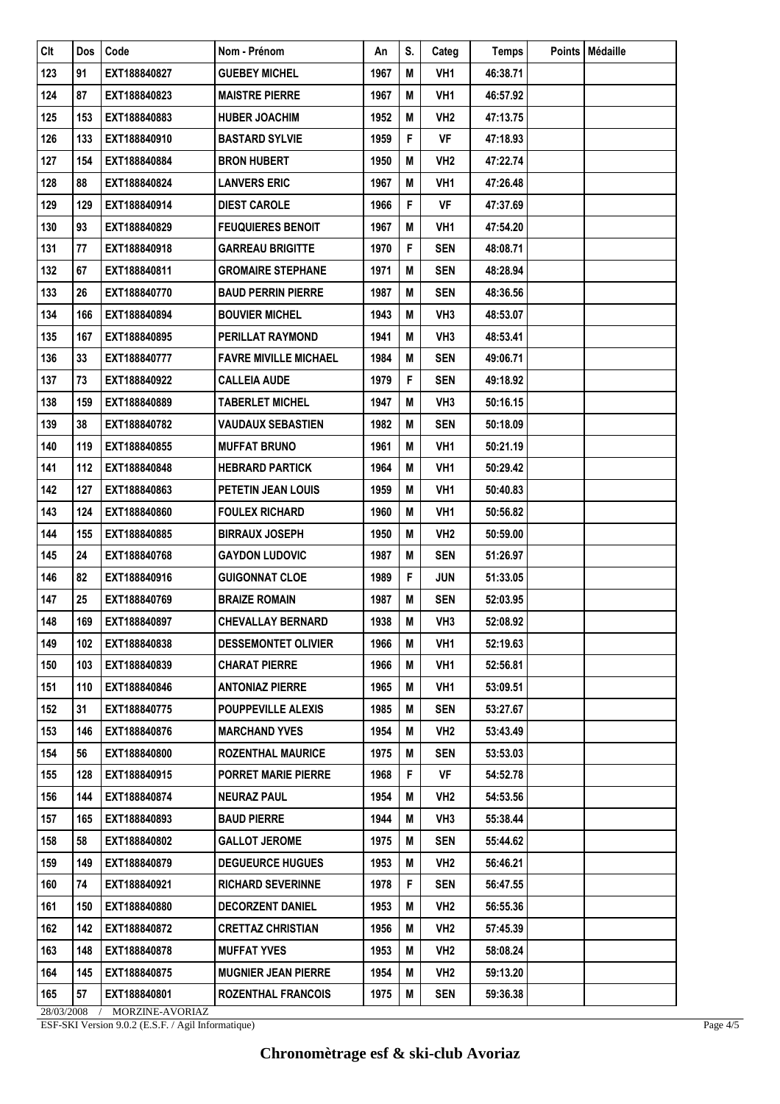| Clt        | Dos | Code            | Nom - Prénom                 | An   | S. | Categ           | <b>Temps</b> | Points   Médaille |
|------------|-----|-----------------|------------------------------|------|----|-----------------|--------------|-------------------|
| 123        | 91  | EXT188840827    | <b>GUEBEY MICHEL</b>         | 1967 | M  | VH <sub>1</sub> | 46:38.71     |                   |
| 124        | 87  | EXT188840823    | <b>MAISTRE PIERRE</b>        | 1967 | M  | VH1             | 46:57.92     |                   |
| 125        | 153 | EXT188840883    | <b>HUBER JOACHIM</b>         | 1952 | M  | VH <sub>2</sub> | 47:13.75     |                   |
| 126        | 133 | EXT188840910    | <b>BASTARD SYLVIE</b>        | 1959 | F  | VF              | 47:18.93     |                   |
| 127        | 154 | EXT188840884    | <b>BRON HUBERT</b>           | 1950 | M  | VH <sub>2</sub> | 47:22.74     |                   |
| 128        | 88  | EXT188840824    | <b>LANVERS ERIC</b>          | 1967 | Μ  | VH1             | 47:26.48     |                   |
| 129        | 129 | EXT188840914    | <b>DIEST CAROLE</b>          | 1966 | F  | VF              | 47:37.69     |                   |
| 130        | 93  | EXT188840829    | <b>FEUQUIERES BENOIT</b>     | 1967 | M  | VH1             | 47:54.20     |                   |
| 131        | 77  | EXT188840918    | <b>GARREAU BRIGITTE</b>      | 1970 | F  | <b>SEN</b>      | 48:08.71     |                   |
| 132        | 67  | EXT188840811    | <b>GROMAIRE STEPHANE</b>     | 1971 | M  | <b>SEN</b>      | 48:28.94     |                   |
| 133        | 26  | EXT188840770    | <b>BAUD PERRIN PIERRE</b>    | 1987 | M  | SEN             | 48:36.56     |                   |
| 134        | 166 | EXT188840894    | <b>BOUVIER MICHEL</b>        | 1943 | M  | VH <sub>3</sub> | 48:53.07     |                   |
| 135        | 167 | EXT188840895    | <b>PERILLAT RAYMOND</b>      | 1941 | M  | VH <sub>3</sub> | 48:53.41     |                   |
| 136        | 33  | EXT188840777    | <b>FAVRE MIVILLE MICHAEL</b> | 1984 | M  | <b>SEN</b>      | 49:06.71     |                   |
| 137        | 73  | EXT188840922    | <b>CALLEIA AUDE</b>          | 1979 | F  | <b>SEN</b>      | 49:18.92     |                   |
| 138        | 159 | EXT188840889    | <b>TABERLET MICHEL</b>       | 1947 | M  | VH <sub>3</sub> | 50:16.15     |                   |
| 139        | 38  | EXT188840782    | <b>VAUDAUX SEBASTIEN</b>     | 1982 | M  | SEN             | 50:18.09     |                   |
| 140        | 119 | EXT188840855    | <b>MUFFAT BRUNO</b>          | 1961 | M  | VH1             | 50:21.19     |                   |
| 141        | 112 | EXT188840848    | <b>HEBRARD PARTICK</b>       | 1964 | M  | VH <sub>1</sub> | 50:29.42     |                   |
| 142        | 127 | EXT188840863    | PETETIN JEAN LOUIS           | 1959 | M  | VH1             | 50:40.83     |                   |
| 143        | 124 | EXT188840860    | <b>FOULEX RICHARD</b>        | 1960 | M  | VH1             | 50:56.82     |                   |
| 144        | 155 | EXT188840885    | <b>BIRRAUX JOSEPH</b>        | 1950 | M  | VH <sub>2</sub> | 50:59.00     |                   |
| 145        | 24  | EXT188840768    | <b>GAYDON LUDOVIC</b>        | 1987 | M  | <b>SEN</b>      | 51:26.97     |                   |
| 146        | 82  | EXT188840916    | <b>GUIGONNAT CLOE</b>        | 1989 | F  | JUN             | 51:33.05     |                   |
| 147        | 25  | EXT188840769    | <b>BRAIZE ROMAIN</b>         | 1987 | M  | SEN             | 52:03.95     |                   |
| 148        | 169 | EXT188840897    | <b>CHEVALLAY BERNARD</b>     | 1938 | M  | VH <sub>3</sub> | 52:08.92     |                   |
| 149        | 102 | EXT188840838    | <b>DESSEMONTET OLIVIER</b>   | 1966 | М  | VH1             | 52:19.63     |                   |
| 150        | 103 | EXT188840839    | <b>CHARAT PIERRE</b>         | 1966 | М  | VH <sub>1</sub> | 52:56.81     |                   |
| 151        | 110 | EXT188840846    | <b>ANTONIAZ PIERRE</b>       | 1965 | M  | VH <sub>1</sub> | 53:09.51     |                   |
| 152        | 31  | EXT188840775    | <b>POUPPEVILLE ALEXIS</b>    | 1985 | Μ  | <b>SEN</b>      | 53:27.67     |                   |
| 153        | 146 | EXT188840876    | <b>MARCHAND YVES</b>         | 1954 | Μ  | VH <sub>2</sub> | 53:43.49     |                   |
| 154        | 56  | EXT188840800    | <b>ROZENTHAL MAURICE</b>     | 1975 | M  | SEN             | 53:53.03     |                   |
| 155        | 128 | EXT188840915    | <b>PORRET MARIE PIERRE</b>   | 1968 | F  | VF              | 54:52.78     |                   |
| 156        | 144 | EXT188840874    | <b>NEURAZ PAUL</b>           | 1954 | Μ  | VH <sub>2</sub> | 54:53.56     |                   |
| 157        | 165 | EXT188840893    | <b>BAUD PIERRE</b>           | 1944 | M  | VH <sub>3</sub> | 55:38.44     |                   |
| 158        | 58  | EXT188840802    | <b>GALLOT JEROME</b>         | 1975 | M  | <b>SEN</b>      | 55:44.62     |                   |
| 159        | 149 | EXT188840879    | <b>DEGUEURCE HUGUES</b>      | 1953 | Μ  | VH <sub>2</sub> | 56:46.21     |                   |
| 160        | 74  | EXT188840921    | <b>RICHARD SEVERINNE</b>     | 1978 | F  | <b>SEN</b>      | 56:47.55     |                   |
| 161        | 150 | EXT188840880    | <b>DECORZENT DANIEL</b>      | 1953 | M  | VH <sub>2</sub> | 56:55.36     |                   |
| 162        | 142 | EXT188840872    | <b>CRETTAZ CHRISTIAN</b>     | 1956 | M  | VH <sub>2</sub> | 57:45.39     |                   |
| 163        | 148 | EXT188840878    | <b>MUFFAT YVES</b>           | 1953 | Μ  | VH <sub>2</sub> | 58:08.24     |                   |
| 164        | 145 | EXT188840875    | <b>MUGNIER JEAN PIERRE</b>   | 1954 | М  | VH <sub>2</sub> | 59:13.20     |                   |
| 165        | 57  | EXT188840801    | <b>ROZENTHAL FRANCOIS</b>    | 1975 | Μ  | <b>SEN</b>      | 59:36.38     |                   |
| 28/03/2008 |     | MORZINE-AVORIAZ |                              |      |    |                 |              |                   |

ESF-SKI Version 9.0.2 (E.S.F. / Agil Informatique)